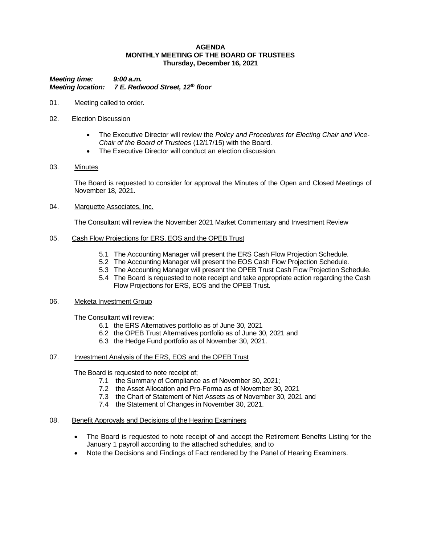#### **AGENDA MONTHLY MEETING OF THE BOARD OF TRUSTEES Thursday, December 16, 2021**

*Meeting time: 9:00 a.m. Meeting location: 7 E. Redwood Street, 12th floor*

- 01. Meeting called to order.
- 02. Election Discussion
	- The Executive Director will review the *Policy and Procedures for Electing Chair and Vice-Chair of the Board of Trustees* (12/17/15) with the Board.
	- The Executive Director will conduct an election discussion.
- 03. Minutes

The Board is requested to consider for approval the Minutes of the Open and Closed Meetings of November 18, 2021.

04. Marquette Associates, Inc.

The Consultant will review the November 2021 Market Commentary and Investment Review

- 05. Cash Flow Projections for ERS, EOS and the OPEB Trust
	- 5.1 The Accounting Manager will present the ERS Cash Flow Projection Schedule.
	- 5.2 The Accounting Manager will present the EOS Cash Flow Projection Schedule.
	- 5.3 The Accounting Manager will present the OPEB Trust Cash Flow Projection Schedule.
	- 5.4 The Board is requested to note receipt and take appropriate action regarding the Cash Flow Projections for ERS, EOS and the OPEB Trust.

### 06. Meketa Investment Group

The Consultant will review:

- 6.1 the ERS Alternatives portfolio as of June 30, 2021
- 6.2 the OPEB Trust Alternatives portfolio as of June 30, 2021 and
- 6.3 the Hedge Fund portfolio as of November 30, 2021.

# 07. Investment Analysis of the ERS, EOS and the OPEB Trust

The Board is requested to note receipt of;

- 7.1 the Summary of Compliance as of November 30, 2021;
- 7.2 the Asset Allocation and Pro-Forma as of November 30, 2021
- 7.3 the Chart of Statement of Net Assets as of November 30, 2021 and
- 7.4 the Statement of Changes in November 30, 2021.

### 08. Benefit Approvals and Decisions of the Hearing Examiners

- The Board is requested to note receipt of and accept the Retirement Benefits Listing for the January 1 payroll according to the attached schedules, and to
- Note the Decisions and Findings of Fact rendered by the Panel of Hearing Examiners.